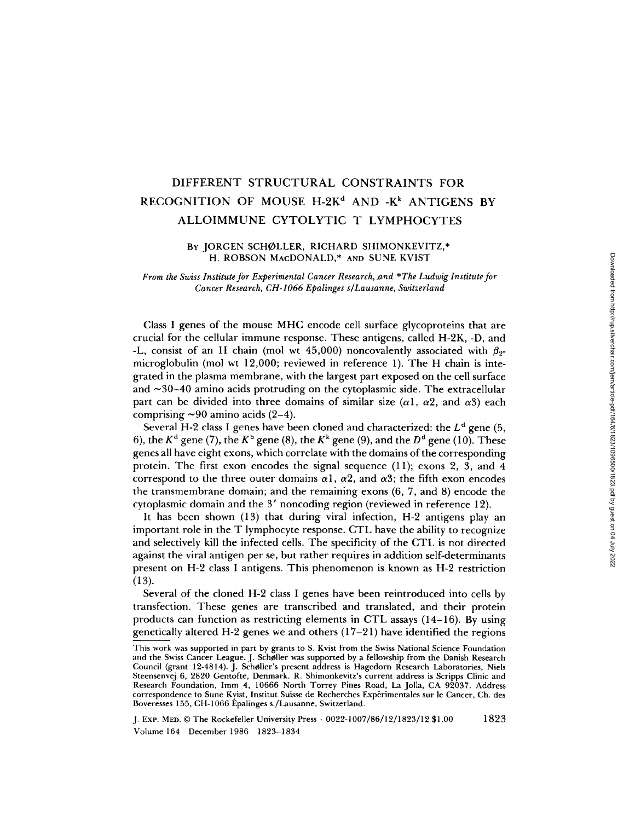## DIFFERENT STRUCTURAL CONSTRAINTS FOR RECOGNITION OF MOUSE H-2K<sup>d</sup> AND -K<sup>k</sup> ANTIGENS BY ALLOIMMUNE CYTOLYTIC T LYMPHOCYTES

# BY JORGEN SCHØLLER, RICHARD SHIMONKEVITZ,\*<br>H. ROBSON MACDONALD,\* AND SUNE KVIST

From the Swiss Institute for Experimental Cancer Research, and \*The Ludwig Institute for Cancer Research, CH-1066 Epalinges s/Lausanne, Switzerland

Class <sup>I</sup> genes of the mouse MHC encode cell surface glycoproteins that are crucial for the cellular immune response. These antigens, called H-2K, -D, and -L, consist of an H chain (mol wt 45,000) noncovalently associated with  $\beta_2$ microglobulin (mol wt 12,000; reviewed in reference 1). The H chain is integrated in the plasma membrane, with the largest part exposed on the cell surface and  $\sim$ 30-40 amino acids protruding on the cytoplasmic side. The extracellular part can be divided into three domains of similar size ( $\alpha$ 1,  $\alpha$ 2, and  $\alpha$ 3) each comprising  $\sim 90$  amino acids (2-4).

Several H-2 class I genes have been cloned and characterized: the  $L^d$  gene (5, 6), the  $K^d$  gene (7), the  $K^b$  gene (8), the  $K^k$  gene (9), and the  $D^d$  gene (10). These genes all have eight exons, which correlate with the domains of the corresponding protein. The first exon encodes the signal sequence (11); exons 2, 3, and 4 correspond to the three outer domains  $\alpha$ 1,  $\alpha$ 2, and  $\alpha$ 3; the fifth exon encodes the transmembrane domain; and the remaining exons (6, 7, and 8) encode the cytoplasmic domain and the <sup>3</sup>' noncoding region (reviewed in reference 12).

It has been shown (13) that during viral infection, H-2 antigens play an important role in the Tlymphocyte response. CTL have the ability to recognize and selectively kill the infected cells. The specificity of the CTL is not directed against the viral antigen per se, but rather requires in addition self-determinants present on H-2 class <sup>I</sup> antigens. This phenomenon is known as H-2 restriction  $(13)$ .

Several of the cloned H-2 class <sup>I</sup> genes have been reintroduced into cells by transfection . These genes are transcribed and translated, and their protein products can function as restricting elements in CTL assays (14-16) . By using genetically altered H-2 genes we and others (17-21) have identified the regions

This work was supported in part by grants to S. Kvist from the Swiss National Science Foundation and the Swiss Cancer League . J. Scholler was supported by a fellowship from the Danish Research Council (grant 12-4814) . J. Scholler's present address is Hagedorn Research Laboratories, Niels Steensenvej 6, 2820 Gentofte, Denmark. R. Shimonkevitz's current address is Scripps Clinic and Research Foundation, Imm 4, 10666 North Torrey Pines Road, La Jolla, CA 92037. Address correspondence to Sune Kvist, Institut Suisse de Recherches Experimentales sur le Cancer, Ch. des Boveresses 155, CH-1066 Epalinges <sup>s</sup> ./Lausanne, Switzerland.

J. Exp. MED. ©The Rockefeller University Press - 0022-1007/86/12/1823/12 \$1 .00 1823 Volume 164 December 1986 1823-1834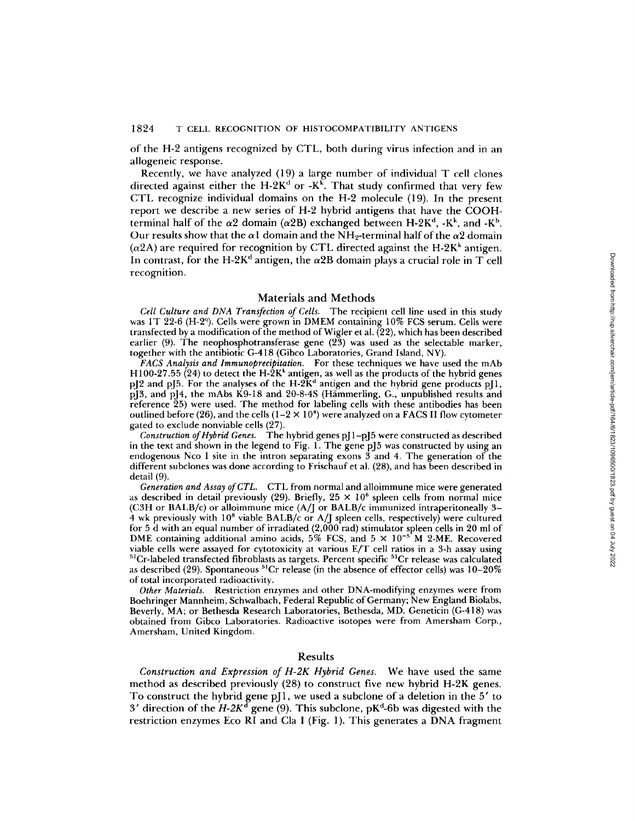of the H-2 antigens recognized by CTL, both during virus infection and in an allogeneic response.

Recently, we have analyzed (19) <sup>a</sup> large number of individual T cell clones directed against either the  $H$ -2K<sup> $d$ </sup> or -K<sup>k</sup>. That study confirmed that very few CTL recognize individual domains on the H-2 molecule (19) . In the present report we describe a new series of H-2 hybrid antigens that have the COOHterminal half of the  $\alpha$ 2 domain ( $\alpha$ 2B) exchanged between H-2K<sup>d</sup>, -K<sup>k</sup>, and -K<sup>b</sup>. Our results show that the  $\alpha$ 1 domain and the NH<sub>2</sub>-terminal half of the  $\alpha$ 2 domain  $(\alpha$ 2A) are required for recognition by CTL directed against the H-2K<sup>k</sup> antigen. In contrast, for the H-2K<sup>d</sup> antigen, the  $\alpha \text{2B}$  domain plays a crucial role in T cell recognition.

### Materials and Methods

Cell Culture and DNA Transfection of Cells. The recipient cell line used in this study was 1T 22-6 (H-2<sup>q</sup>). Cells were grown in DMEM containing 10% FCS serum. Cells were transfected by a modification of the method of Wigler et al. (22), which has been described earlier (9). The neophosphotransferase gene (23) was used as the selectable marker, together with the antibiotic G-418 (Gibco Laboratories, Grand Island, NY).

FACS Analysis and Immunoprecipitation. For these techniques we have used the mAb H100-27.55 (24) to detect the H-2K<sup>k</sup> antigen, as well as the products of the hybrid genes pJ2 and pJ5 . For the analyses of the H-2K' antigen and the hybrid gene products pJl,  $pJ_3$ , and  $pJ_4$ , the mAbs K9-18 and 20-8-4S (Hammerling, G., unpublished results and reference 25) were used. The method for labeling cells with these antibodies has been outlined before (26), and the cells ( $1-2 \times 10^4$ ) were analyzed on a FACS II flow cytometer gated to exclude nonviable cells (27) .

Construction of Hybrid Genes. The hybrid genes  $p[1-p]5$  were constructed as described in the text and shown in the legend to Fig. 1. The gene pJ5 was constructed by using an endogenous Nco <sup>I</sup> site in the intron separating exons 3 and 4. The generation of the different subclones was done according to Frischauf et al . (28), and has been described in detail (9) .

Generation and Assay ofCTL. CTL from normal and alloimmune mice were generated as described in detail previously (29). Briefly,  $25 \times 10^6$  spleen cells from normal mice (C3H or BALB/c) or alloimmune mice (A/J or BALB/c immunized intraperitoneally 3- 4 wk previously with  $10^8$  viable BALB/c or A/J spleen cells, respectively) were cultured for 5 d with an equal number of irradiated (2,000 rad) stimulator spleen cells in 20 ml of DME containing additional amino acids, 5% FCS, and 5  $\times$  10<sup>-5</sup> M 2-ME. Recovered viable cells were assayed for cytotoxicity at various E/T cell ratios in a 3-h assay using <sup>51</sup>Cr-labeled transfected fibroblasts as targets. Percent specific <sup>51</sup>Cr release was calculated as described (29). Spontaneous  ${}^{51}Cr$  release (in the absence of effector cells) was  $10-20\%$ of total incorporated radioactivity .

Other Materials. Restriction enzymes and other DNA-modifying enzymes were from Boehringer Mannheim, Schwalbach, Federal Republic of Germany ; New England Biolabs, Beverly, MA ; or Bethesda Research Laboratories, Bethesda, MD. Geneticin (G-418) was obtained from Gibco Laboratories. Radioactive isotopes were from Amersham Corp., Amersham, United Kingdom.

## Results

Construction and Expression of H-2K Hybrid Genes. We have used the same method as described previously (28) to construct five new hybrid H-2K genes. To construct the hybrid gene pJ1, we used a subclone of a deletion in the 5' to  $3'$  direction of the  $H$ -2 $K^{\mathsf{d}}$  gene (9). This subclone, p $\mathrm{K}^{\mathsf{d}}$ -6b was digested with the restriction enzymes Eco RI and Cla I (Fig. 1). This generates a DNA fragment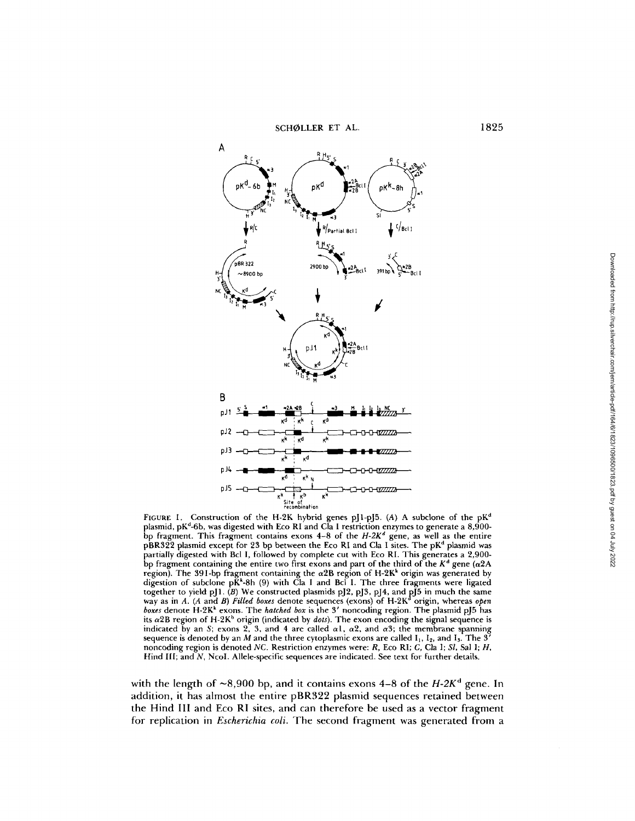

FIGURE 1. Construction of the H-2K hybrid genes pJ1-pJ5. (A) A subclone of the pK<sup>d</sup> plasmid, pK'-6b, was digested with Eco RI and Cla <sup>I</sup> restriction enzymes to generate a 8,900 bp fragment. This fragment contains exons  $4-8$  of the  $H-2K^d$  gene, as well as the entire  $pBRS22$  plasmid except for 23 bp between the Eco RI and Cla I sites. The  $pK<sup>d</sup>$  plasmid was partially digested with Bcl I, followed by complete cut with Eco RI . This generates a 2,900 bp fragment containing the entire two first exons and part of the third of the  $K<sup>d</sup>$  gene ( $\alpha$ 2A region). The 391-bp fragment containing the  $\alpha$ 2B region of H-2K<sup>k</sup> origin was generated by digestion of subclone  $pK^k$ -8h (9) with Cla I and Bcl I. The three fragments were ligated together to yield pJ1  $(B)$  We constructed plasmids pJ2, pJ3, pJ4, and pJ5 in much the same way as in A. (A and B) Filled boxes denote sequences (exons) of H-2K<sup>d</sup> origin, whereas open boxes denote H-2K<sup>k</sup> exons. The *hatched box* is the 3' noncoding region. The plasmid pJ5 has its  $\alpha$ 2B region of H-2K<sup>b</sup> origin (indicated by *dots*). The exon encoding the signal sequence is indicated by an S; exons 2, 3, and 4 are called  $\alpha$ 1,  $\alpha$ 2, and  $\alpha$ 3; the membrane spanning sequence is denoted by an  $M$  and the three cytoplasmic exons are called  $I_1$ ,  $I_2$ , and  $I_3$ . The 3' noncoding region is denoted NC. Restriction enzymes were: R, Eco RI; C, Cla I; Sl, Sal 1; H, Hind III; and N, Ncol. Allele-specific sequences are indicated. See text for further details.

with the length of  ${\sim}8{,}900$  bp, and it contains exons 4–8 of the  $H$ -2K $^{\mathsf{d}}$  gene. In addition, it has almost the entire pBR322 plasmid sequences retained between the Hind III and Eco RI sites, and can therefore be used as a vector fragment for replication in *Escherichia coli.* The second fragment was generated from a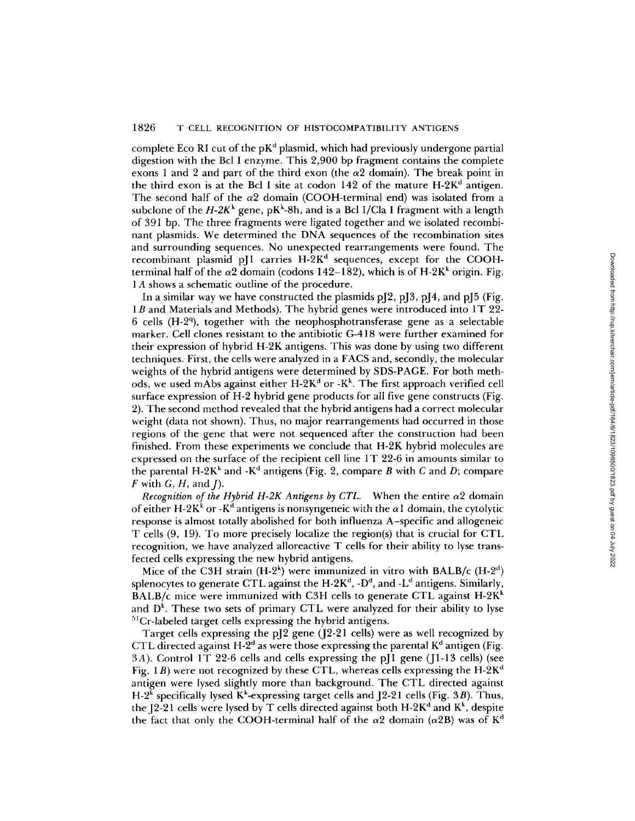complete Eco RI cut of the  $pK<sup>d</sup>$  plasmid, which had previously undergone partial digestion with the Bcl <sup>I</sup> enzyme. This 2,900 by fragment contains the complete exons 1 and 2 and part of the third exon (the  $\alpha$ 2 domain). The break point in the third exon is at the Bcl I site at codon  $142$  of the mature  $H-2K<sup>d</sup>$  antigen. The second half of the  $\alpha$ 2 domain (COOH-terminal end) was isolated from a subclone of the  $H$ -2 $K^k$  gene, p $K^k$ -8h, and is a Bcl I/Cla I fragment with a length of 391 bp. The three fragments were ligated together and we isolated recombinant plasmids . We determined the DNA sequences of the recombination sites and surrounding sequences. No unexpected rearrangements were found. The recombinant plasmid pJ1 carries H-2K<sup>d</sup> sequences, except for the COOHterminal half of the  $\alpha$ 2 domain (codons 142–182), which is of H-2K<sup>k</sup> origin. Fig. <sup>1</sup> A shows <sup>a</sup> schematic outline of the procedure.

In a similar way we have constructed the plasmids  $pJ2$ ,  $pJ3$ ,  $pJ4$ , and  $pJ5$  (Fig. 1*B* and Materials and Methods). The hybrid genes were introduced into 1T 22-6 cells (H-2<sup>q</sup>), together with the neophosphotransferase gene as a selectable marker. Cell clones resistant to the antibiotic G-418 were further examined for their expression of hybrid H-2K antigens. This was done by using two different techniques . First, the cells were analyzed in <sup>a</sup> FACS and, secondly, the molecular weights of the hybrid antigens were determined by SDS-PAGE. For both methods, we used mAbs against either  $H-2K^d$  or  $-K^k$ . The first approach verified cell surface expression of H-2 hybrid gene products for all five gene constructs (Fig. 2) . The second method revealed that the hybrid antigens had a correct molecular weight (data not shown). Thus, no major rearrangements had occurred in those regions of the gene that were not sequenced after the construction had been finished. From these experiments we conclude that H-2K hybrid molecules are expressed on the surface of the recipient cell line 1 T 22-6 in amounts similar to the parental H-2K<sup>k</sup> and -K<sup>d</sup> antigens (Fig. 2, compare B with C and D; compare  $F$  with  $G$ ,  $H$ , and  $I$ ).

Recognition of the Hybrid H-2K Antigens by CTL. When the entire  $\alpha$ 2 domain of either H-2K<sup>k</sup> or -K<sup>d</sup> antigens is nonsyngeneic with the  $\alpha$ 1 domain, the cytolytic response is almost totally abolished for both influenza A-specific and allogeneic T cells (9, 19). To more precisely localize the region(s) that is crucial for CTL recognition, we have analyzed alloreactive T cells for their ability to lyse transfected cells expressing the new hybrid antigens.

Mice of the C3H strain  $(H-2^k)$  were immunized in vitro with BALB/c  $(H-2^d)$ splenocytes to generate CTL against the  $H-2K^d$ ,  $-D^d$ , and  $-L^d$  antigens. Similarly, BALB/c mice were immunized with C3H cells to generate CTL against  $H-2K<sup>k</sup>$ and D k. These two sets of primary CTL were analyzed for their ability to lyse  ${}^{51}Cr$ -labeled target cells expressing the hybrid antigens.

Target cells expressing the pJ2 gene (J2-21 cells) were as well recognized by CTL directed against H-2<sup>d</sup> as were those expressing the parental  $K<sup>d</sup>$  antigen (Fig. 3A). Control 1T 22-6 cells and cells expressing the pJI gene (JI-13 cells) (see Fig. 1*B*) were not recognized by these CTL, whereas cells expressing the H-2K<sup>d</sup> antigen were lysed slightly more than background. The CTL directed against H-2<sup>k</sup> specifically lysed K<sup>k</sup>-expressing target cells and J2-21 cells (Fig. 3*B*). Thus, the J2-21 cells were lysed by T cells directed against both  $H-2K<sup>d</sup>$  and  $K<sup>k</sup>$ , despite the fact that only the COOH-terminal half of the  $\alpha$ 2 domain ( $\alpha$ 2B) was of K<sup>d</sup>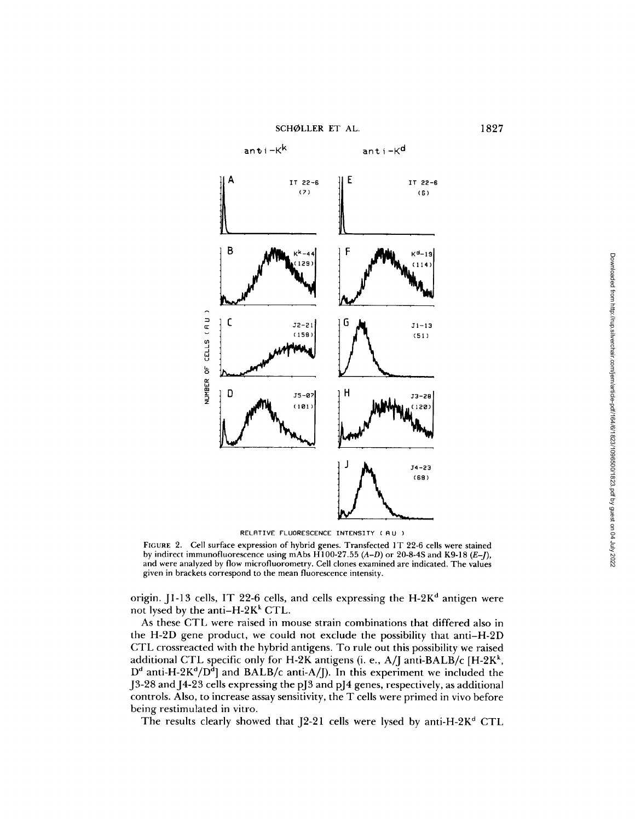SCHØLLER ET AL. 1827



RELATIVE FLUORESCENCE INTENSITY (AU)

FIGURE 2. Cell surface expression of hybrid genes. Transfected 1T 22-6 cells were stained by indirect immunofluorescence using mAbs  $\widehat{H}100-27.55(A-D)$  or 20-8-4S and K9-18 (E-J), and were analyzed by flow microfluorometry . Cell clones examined are indicated. The values given in brackets correspond to the mean fluorescence intensity .

origin. J1-13 cells, IT 22-6 cells, and cells expressing the  $H-2K<sup>d</sup>$  antigen were not lysed by the anti-H-2K $k$ <sup>k</sup> CTL.

As these CTL were raised in mouse strain combinations that differed also in the H-2D gene product, we could not exclude the possibility that anti-H-21) CTL crossreacted with the hybrid antigens . To rule out this possibility we raised additional CTL specific only for H-2K antigens (i. e., A/J anti-BALB/c [H-2K<sup>k</sup>,  $D^d$  anti-H-2K<sup>d</sup>/D<sup>d</sup>] and BALB/c anti-A/J). In this experiment we included the ] J3-28 and J4-23 cells expressing the pJ3 and pJ4 genes, respectively, as additional controls. Also, to increase assay sensitivity, the T cells were primed in vivo before being restimulated in vitro.

The results clearly showed that  $[2-21]$  cells were lysed by anti-H-2K<sup>d</sup> CTL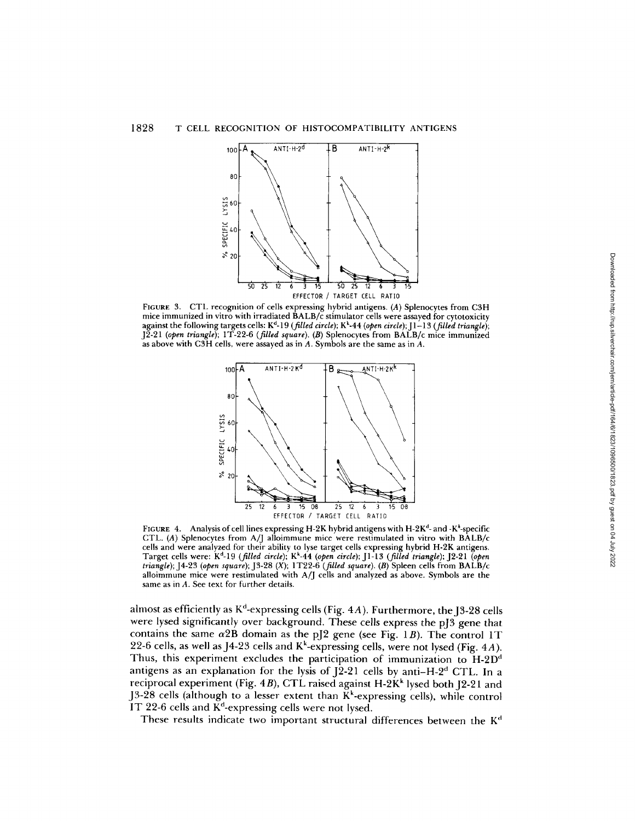

FIGURE <sup>3</sup> . CTL recognition of cells expressing hybrid antigens (A) Splenocytes from C3H mice immunized in vitro with irradiated BALB/c stimulator cells were assayed for cytotoxicity against the following targets cells:  $K^d$ -19 (filled circle);  $K^k$ -44 (open circle);  $J^1$ -13 (filled triangle); J2-21 (open triangle); 1T-22-6 (filled square). (B) Splenocytes from BALB/c mice immunized as above with C3H cells, were assayed as in  $A$ . Symbols are the same as in  $A$ .



FIGURE 4. Analysis of cell lines expressing H-2K hybrid antigens with H-2K<sup>d</sup>- and -K<sup> $\star$ </sup>-specific CTL. (A) Splenocytes from A/J alloimmune mice were restimulated in vitro with  $BALB/c$ cells and were analyzed for their ability to lyse target cells expressing hybrid H-2K antigens . Target cells were:  $K<sup>d</sup>$ -19 (filled circle);  $K<sup>k</sup>$ -44 (open circle); [1-13 (filled triangle); [2-21 (open triangle); J4-23 (open square); J3-28 (X); 1T22-6 (filled square). (B) Spleen cells from  $BALB/c$ alloimmune mice were restimulated with A/J cells and analyzed as above Symbols are the same as in A. See text for further details.

almost as efficiently as  $K^d$ -expressing cells (Fig. 4A). Furthermore, the J3-28 cells were lysed significantly over background. These cells express the pJ3 gene that contains the same  $\alpha$ 2B domain as the pJ2 gene (see Fig. 1B). The control 1T 22-6 cells, as well as J4-23 cells and  $K<sup>k</sup>$ -expressing cells, were not lysed (Fig. 4A). Thus, this experiment excludes the participation of immunization to H-2D' antigens as an explanation for the lysis of  $[2-21]$  cells by anti-H-2<sup>d</sup> CTL. In a reciprocal experiment (Fig. 4B), CTL raised against  $H-2K<sup>k</sup>$  lysed both [2-21 and J3-28 cells (although to a lesser extent than  $K<sup>k</sup>$ -expressing cells), while control IT 22-6 cells and  $K<sup>d</sup>$ -expressing cells were not lysed.

These results indicate two important structural differences between the  $K<sup>d</sup>$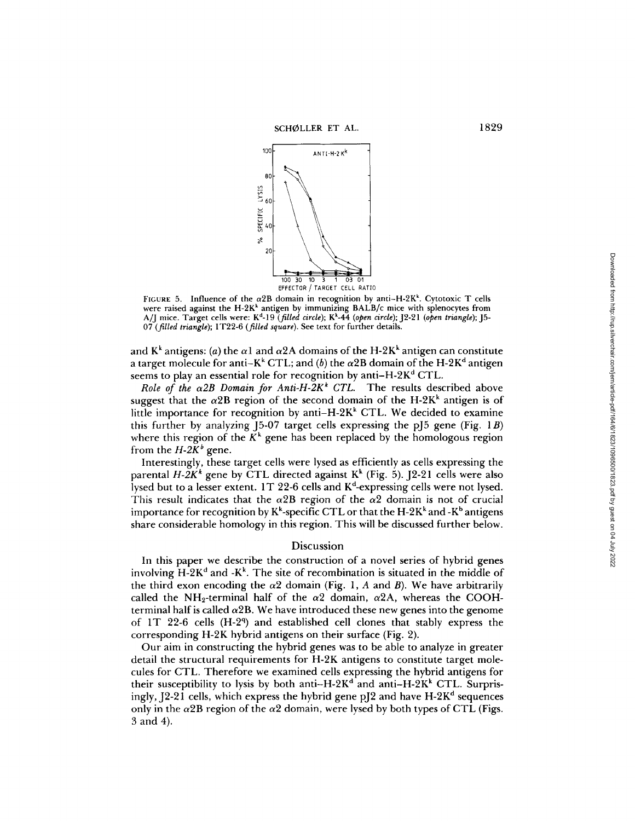

FIGURE 5. Influence of the  $\alpha$ 2B domain in recognition by anti-H-2K<sup>k</sup>. Cytotoxic T cells were raised against the H-2K' antigen by immunizing BALB/c mice with splenocytes from A/J mice. Target cells were: K<sup>d</sup>-19 (*filled circle*); K<sup>k</sup>-44 (open circle); J2-21 (open triangle); J5-07 (filled triangle); 1T22-6 (filled square). See text for further details.

and  $K^k$  antigens: (a) the  $\alpha$ 1 and  $\alpha$ 2A domains of the H-2K<sup>k</sup> antigen can constitute a target molecule for anti–K<sup>k</sup> CTL; and (b) the  $\alpha$ 2B domain of the H-2K<sup>d</sup> antigen seems to play an essential role for recognition by anti-H-2K<sup>d</sup> CTL.

Role of the  $\alpha$ 2B Domain for Anti-H-2K<sup>k</sup> CTL. The results described above suggest that the  $\alpha 2\mathrm{B}$  region of the second domain of the H-2K $^{\mathrm{k}}$  antigen is of little importance for recognition by anti-H-2K<sup>k</sup> CTL. We decided to examine this further by analyzing 15-07 target cells expressing the p $[5 \text{ gene (Fig. 1B)}]$ where this region of the  $K^k$  gene has been replaced by the homologous region from the  $H$ -2 $K^b$  gene.

Interestingly, these target cells were lysed as efficiently as cells expressing the parental  $H - 2K^*$  gene by CTL directed against  $K^k$  (Fig. 5). J2-21 cells were also lysed but to a lesser extent. 1T 22-6 cells and K<sup>d</sup>-expressing cells were not lysed. This result indicates that the  $\alpha$ 2B region of the  $\alpha$ 2 domain is not of crucial importance for recognition by  $K^k$ -specific CTL or that the H-2K $^k$  and -K $^b$  antigens share considerable homology in this region. This will be discussed further below.

## Discussion

In this paper we describe the construction of a novel series of hybrid genes involving  $H-2K^d$  and  $-K^k$ . The site of recombination is situated in the middle of the third exon encoding the  $\alpha$ 2 domain (Fig. 1, A and B). We have arbitrarily called the NH<sub>2</sub>-terminal half of the  $\alpha$ 2 domain,  $\alpha$ 2A, whereas the COOHterminal half is called  $\alpha$ 2B. We have introduced these new genes into the genome of 1T 22-6 cells (H-2 9) and established cell clones that stably express the corresponding H-2K hybrid antigens on their surface (Fig. 2).

Our aim in constructing the hybrid genes was to be able to analyze in greater detail the structural requirements for H-2K antigens to constitute target molecules for CTL. Therefore we examined cells expressing the hybrid antigens for their susceptibility to lysis by both anti-H-2K<sup>d</sup> and anti-H-2K<sup>k</sup> CTL. Surprisingly, J2-21 cells, which express the hybrid gene pJ2 and have H-2K<sup>d</sup> sequences only in the  $\alpha$ 2B region of the  $\alpha$ 2 domain, were lysed by both types of CTL (Figs. From s. 5. Influence of the a2B region by thromation of the axer can be the state of the and state can be the state of the and the state of the appearing of the and the state of CM ( $Q$  (Mid in the pick and  $\alpha$ )  $\beta$  and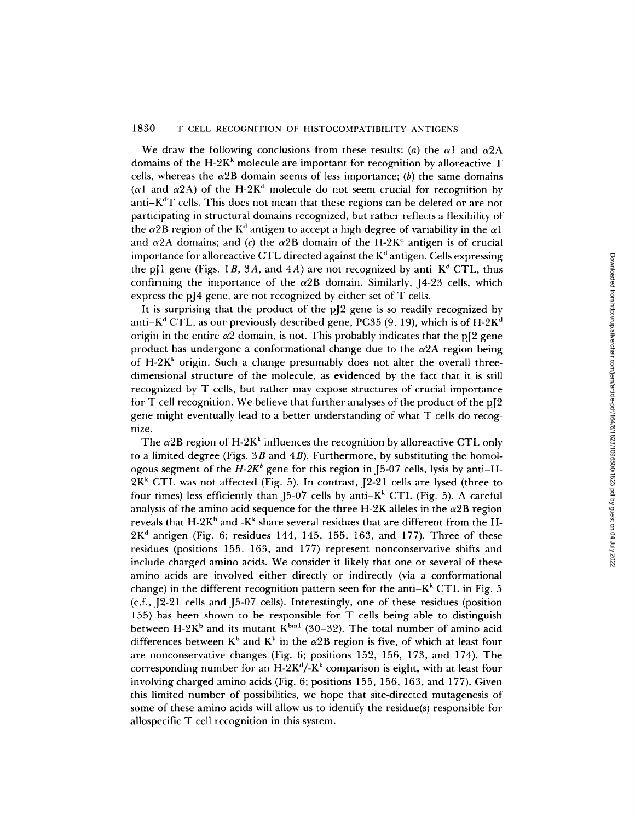We draw the following conclusions from these results: (a) the  $\alpha$ l and  $\alpha$ 2A domains of the H-2K' molecule are important for recognition by alloreactive T cells, whereas the  $\alpha$ 2B domain seems of less importance; (b) the same domains ( $\alpha$ 1 and  $\alpha$ 2A) of the H-2K<sup>d</sup> molecule do not seem crucial for recognition by anti-K d T cells. This does not mean that these regions can be deleted or are not participating in structural domains recognized, but rather reflects a flexibility of the  $\alpha$ 2B region of the  $\mathrm{K}^\mathrm{d}$  antigen to accept a high degree of variability in the  $\alpha$ l and  $\alpha$ 2A domains; and (*c*) the  $\alpha$ 2B domain of the H-2K<sup>d</sup> antigen is of crucial importance for alloreactive CTL directed against the  $\mathrm{K}^\mathrm{d}$  antigen. Cells expressing the pJ1 gene (Figs. 1*B*, 3*A*, and 4*A*) are not recognized by anti–K<sup>d</sup> CTL, thus confirming the importance of the  $\alpha$ 2B domain. Similarly, [4-23 cells, which express the pJ4 gene, are not recognized by either set of T cells.

It is surprising that the product of the pJ2 gene is so readily recognized by anti–K $^{\rm d}$  CTL, as our previously described gene, PC35 (9, 19), which is of H-2K $^{\rm c}$ origin in the entire  $\alpha$ 2 domain, is not. This probably indicates that the pJ2 gene product has undergone a conformational change due to the  $\alpha 2A$  region being of H-2K <sup>k</sup> origin . Such a change presumably does not alter the overall threedimensional structure of the molecule, as evidenced by the fact that it is still recognized by T cells, but rather may expose structures of crucial importance for T cell recognition. We believe that further analyses of the product of the pJ2 gene might eventually lead to a better understanding of what T cells do recognize.

The  $\alpha$ 2B region of H-2K<sup>k</sup> influences the recognition by alloreactive CTL only to a limited degree (Figs.  $3B$  and  $4B$ ). Furthermore, by substituting the homologous segment of the  $H-2K^b$  gene for this region in [5-07 cells, lysis by anti-H- $2K<sup>k</sup>$  CTL was not affected (Fig. 5). In contrast,  $[2-21]$  cells are lysed (three to four times) less efficiently than J5-07 cells by anti– $K^k$  CTL (Fig. 5). A careful analysis of the amino acid sequence for the three H-2K alleles in the  $\alpha$ 2B region reveals that  $\mathrm{H}\text{-}2\mathrm{K}^{\mathrm{b}}$  and  $\text{-} \mathrm{K}^{\mathrm{k}}$  share several residues that are different from the  $\mathrm{H}\text{-}$  $2K<sup>d</sup>$  antigen (Fig. 6; residues 144, 145, 155, 163, and 177). Three of these residues (positions 155, 163, and 177) represent nonconservative shifts and include charged amino acids. We consider it likely that one or several of these amino acids are involved either directly or indirectly (via a conformational change) in the different recognition pattern seen for the anti– $K^k$  CTL in Fig. 5  $(c.f., [2-21 cells and [5-07 cells])$ . Interestingly, one of these residues (position 155) has been shown to be responsible for T cells being able to distinguish between  $H-2K^b$  and its mutant  $K^{bm1}$  (30–32). The total number of amino acid differences between  $K^b$  and  $K^k$  in the  $\alpha$ 2B region is five, of which at least four are nonconservative changes (Fig. 6; positions 152, 156, 173, and 174). The corresponding number for an H-2K'/-K <sup>k</sup> comparison is eight, with at least four involving charged amino acids (Fig.  $6$ ; positions 155, 156, 163, and 177). Given this limited number of possibilities, we hope that site-directed mutagenesis of some of these amino acids will allow us to identify the residue(s) responsible for allospecific T cell recognition in this system. to allocative C. I. directed agains the K antigent. Cells expressing<br>of e (Figs. 18, 3A, and 4A) are not recognized by enti-Ke<sup>s</sup> CTL, thus<br>the inpurtance of the «2B downin. Similarly, 1-4-33 cells, which<br>pl4 gene, are no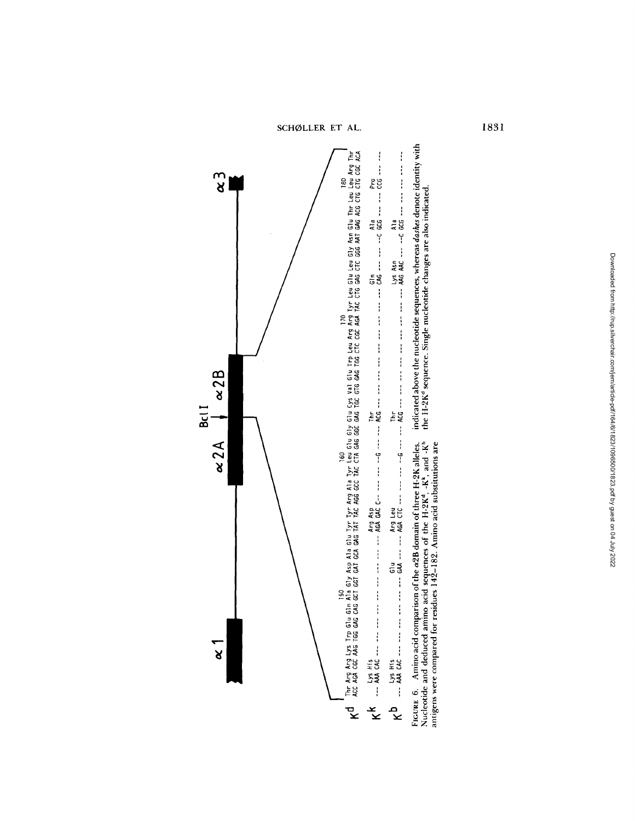SCHØLLER ET AL. 1831

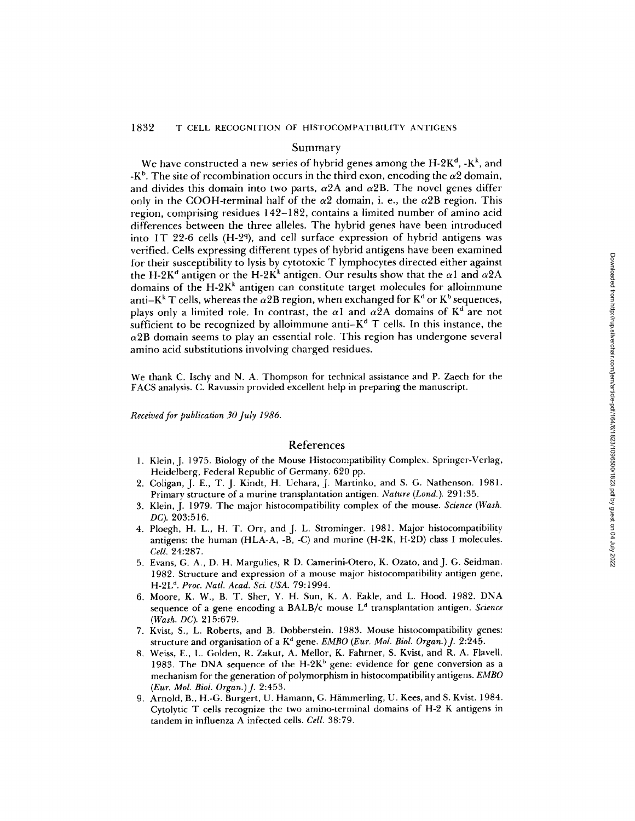## Summary

We have constructed a new series of hybrid genes among the  $\mathrm{H-2K^d}$ ,  $\mathrm{-K^k}$ , and -K<sup>b</sup>. The site of recombination occurs in the third exon, encoding the  $\alpha2$  domain, and divides this domain into two parts,  $\alpha$ 2A and  $\alpha$ 2B. The novel genes differ only in the COOH-terminal half of the  $\alpha$ 2 domain, i. e., the  $\alpha$ 2B region. This region, comprising residues 142-182, contains <sup>a</sup> limited number of amino acid differences between the three alleles . The hybrid genes have been introduced into 1T 22-6 cells (H-2<sup>q</sup>), and cell surface expression of hybrid antigens was verified. Cells expressing different types of hybrid antigens have been examined for their susceptibility to lysis by cytotoxic T lymphocytes directed either against the H-2K<sup>d</sup> antigen or the H-2K<sup>k</sup> antigen. Our results show that the  $\alpha$ l and  $\alpha$ 2A domains of the  $H-2K<sup>k</sup>$  antigen can constitute target molecules for alloimmune anti-K<sup>k</sup> T cells, whereas the  $\alpha$ 2B region, when exchanged for K<sup>d</sup> or K<sup>b</sup> sequences, plays only a limited role. In contrast, the  $\alpha$ l and  $\alpha$ 2A domains of K<sup>d</sup> are not sufficient to be recognized by alloimmune anti $-K<sup>d</sup>T$  cells. In this instance, the  $\alpha$ 2B domain seems to play an essential role. This region has undergone several amino acid substitutions involving charged residues. Co lysis by cytoloxic T lymphocytes directed eiter against the 14-28: antigen can constitute target molecules for alloimmune<br>at the 28:8 are achos the cells show that the a I and  $\alpha 2A$ <br>show that the  $\alpha$  I alloimmune an

We thank C. Ischy and N. A. Thompson for technical assistance and P. Zaech for the FACS analysis . C. Ravussin provided excellent help in preparing the manuscript.

Received for publication 30 July 1986.

## References

- 1. Klein, J. 1975. Biology of the Mouse Histocompatibility Complex. Springer-Verlag, Heidelberg, Federal Republic of Germany. 620 pp.
- 2. Coligan, J. E., T. J. Kindt, H. Uehara, J. Martinko, and S. G. Nathenson. 1981. Primary structure of a murine transplantation antigen. *Nature (Lond*.). 291:35.
- 3. Klein, J. 1979. The major histocompatibility complex of the mouse. Science (Wash. DC). 203:516.
- 4. Ploegh, H. L., H. T. Orr, and J. L. Strominger. 1981. Major histocompatibility antigens: the human  $(HLA-A, -B, -C)$  and murine  $(H-2K, H-2D)$  class I molecules. Cell. 24:287.
- <sup>5</sup> . Evans, G. A., D. H . Margulies, R D. Camerini-Otero, K. Ozato, and J. G. Seidman. 1982. Structur e and expression of a mouse major histocompatibility antigen gene, H-2L<sup>d</sup>. Proc. Natl. Acad. Sci. USA. 79:1994.
- 6. Moore, K. W., B. T. Sher, Y. H. Sun, K. A. Eakle, and L. Hood. 1982. DNA sequence of a gene encoding a BALB/c mouse L<sup>a</sup> transplantation antigen. *Science* (Wash. DC). 215:679.
- 7 . Kvist, S., L. Roberts, and B. Dobberstein . 1983 . Mouse histocompatibility genes: structure and organisation of a K<sup>d</sup> gene. *EMBO (Eur. Mol. Biol. Organ.)* J. 2:245.
- <sup>8</sup> . Weiss, E., L. Golden, R. Zakut, A. Mellor, K. Fahrner, S. Kvist, and R. A. Flavell . 1983. The DNA sequence of the H-2K<sup>b</sup> gene: evidence for gene conversion as a mechanism for the generation of polymorphism in histocompatibility antigens. EMBO (Eur. Mol. Biol . Organ.) J. 2:453.
- 9. Arnold, B., H .-G . Burgert, U. Hamann, G. Hammerling, U. Kees, and S. Kvist. 1984 . Cytolytic T cells recognize the two amino-terminal domains of H-2 K antigens in tandem in influenza A infected cells. Cell. 38:79.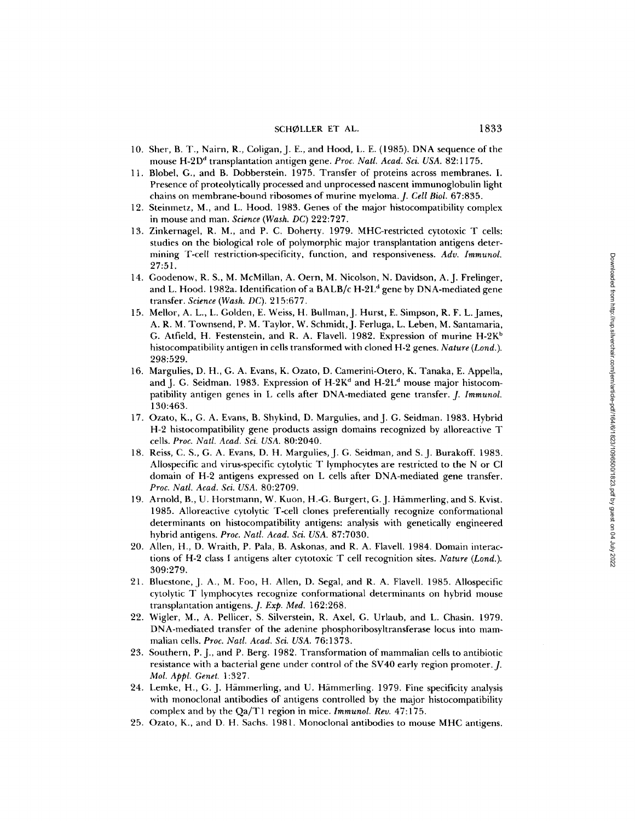## SCHØLLER ET AL. 1833

- 10. Sher, B. T., Nairn, R., Coligan, J. E., and Hood, L. E. (1985). DNA sequence of the mouse H-2D <sup>d</sup> transplantation antigen gene Proc. Natl. Acad. Sci. USA. 82:1175.
- 11 . Blobel, G., and B. Dobberstein . 1975. Transfer of proteins across membranes. <sup>I</sup> . Presence of proteolytically processed and unprocessed nascent immunoglobulin light chains on membrane-bound ribosomes of murine myeloma. J. Cell Biol. 67:835.
- 12. Steinmetz, M., and L. Hood. 1983. Genes of the major histocompatibility complex in mouse and man. Science (Wash. DC) 222:727.
- 13. Zinkernagel, R. M., and P. C. Doherty. 1979. MHC-restricted cytotoxic T cells: studies on the biological role of polymorphic major transplantation antigens determining T-cell restriction-specificity, function, and responsiveness. Adv. Immunol. 27:51 .
- 14. Goodenow, R. S., M. McMillan, A. Oern, M. Nicolson, N. Davidson, A. J. Frelinger, and L. Hood. 1982a. Identification of a BALB/c H-2L <sup>d</sup> gene by DNA-mediated gene transfer. Science (Wash. DC). 215:677.
- 15. Mellor, A. L., L. Golden, E. Weiss, H. Bullman, J. Hurst, E. Simpson, R. F. L. James, A. R. M . Townsend, P. M. Taylor, W. Schmidt, J. Ferluga, L. Leben, M. Santamaria, G. Atfield, H. Festenstein, and R. A. Flavell. 1982. Expression of murine H-2K<sup>b</sup> histocompatibility antigen in cells transformed with cloned H-2 genes. Nature (Lond.). 298:529. Estationary-content and the planary-station of the mouse MHC and the mouse MHC and the mouse MC antibodies to mouse MHC antibodies to mouse MHC and the mouse MHC and the mouse MHC and the mouse MHC and the MHC and the MHC
- 16. Margulies, D. H., G. A. Evans, K. Ozato, D. Camerini-Otero, K. Tanaka, E. Appella, and J. G. Seidman. 1983. Expression of H-2K<sup>d</sup> and H-2L<sup>d</sup> mouse major histocompatibility antigen genes in L cells after DNA-mediated gene transfer. J. Immunol. 130:463 .
- 17. Ozato, K., G . A. Evans, B . Shykind, D . Margulies, and J G. Seidman. 1983. Hybri d H-2 histocompatibility gene products assign domains recognized by alloreactive T cells. Proc. Natl. Acad. Sci. USA. 80:2040.
- 18. Reiss, C. S., G. A. Evans, D. H . Margulies, J. G. Seidman, and S. J. Burakoff. 1983. Allospecifi c and virus-specific cytolytic T lymphocytes are restricted to the N or CI domain of H-2 antigens expressed on L cells after DNA-mediated gene transfer . Proc. Natl. Acad. Sci. USA. 80:2709.
- 19. Arnold, B., U. Horstmann, W. Kuon, H.-G. Burgert, G. J. Hämmerling, and S. Kvist. 1985 . Alloreactive cytolytic T-cell clones preferentially recognize conformational determinants on histocompatibility antigens: analysis with genetically engineered hybrid antigens. Proc. Natl. Acad. Sci. USA. 87:7030.
- 20. Allen, H., D. Wraith, P. Pala, B. Askonas, and R. A . Flavell . 1984. Domai n interactions of H-2 class I antigens alter cytotoxic T cell recognition sites. Nature (Lond.). 309:279 .
- 21. Bluestone, J. A., M. Foo, H. Allen, D. Segal, and R. A. Flavell. 1985. Allospecific cytolytic T lymphocytes recognize conformational determinants on hybrid mouse transplantation antigens.  $J.$  Exp. Med. 162:268.
- 22. Wigler, M ., A. Pellicer, S. Silverstein, R. Axel, G. Urlaub, and L. Chasin. 1979. DNA-mediated transfer of the adenine phosphoribosyltransferase locus into mammalian cells. Proc. Natl. Acad. Sci. USA. 76:1373.
- 23. Southern, P. J., and P. Berg. 1982. Transformation of mammalian cells to antibiotic resistance with a bacterial gene under control of the SV40 early region promoter . J. Mol. Appl. Genet. <sup>1</sup> :327.
- 24. Lemke, H ., G. J. Hammerling, and U. Hammerling. 1979 . Fine specificity analysis with monoclonal antibodies of antigens controlled by the major histocompatibility complex and by the Qa/T1 region in mice. Immunol. Rev. 47:175.
- 25. Ozato, K., and